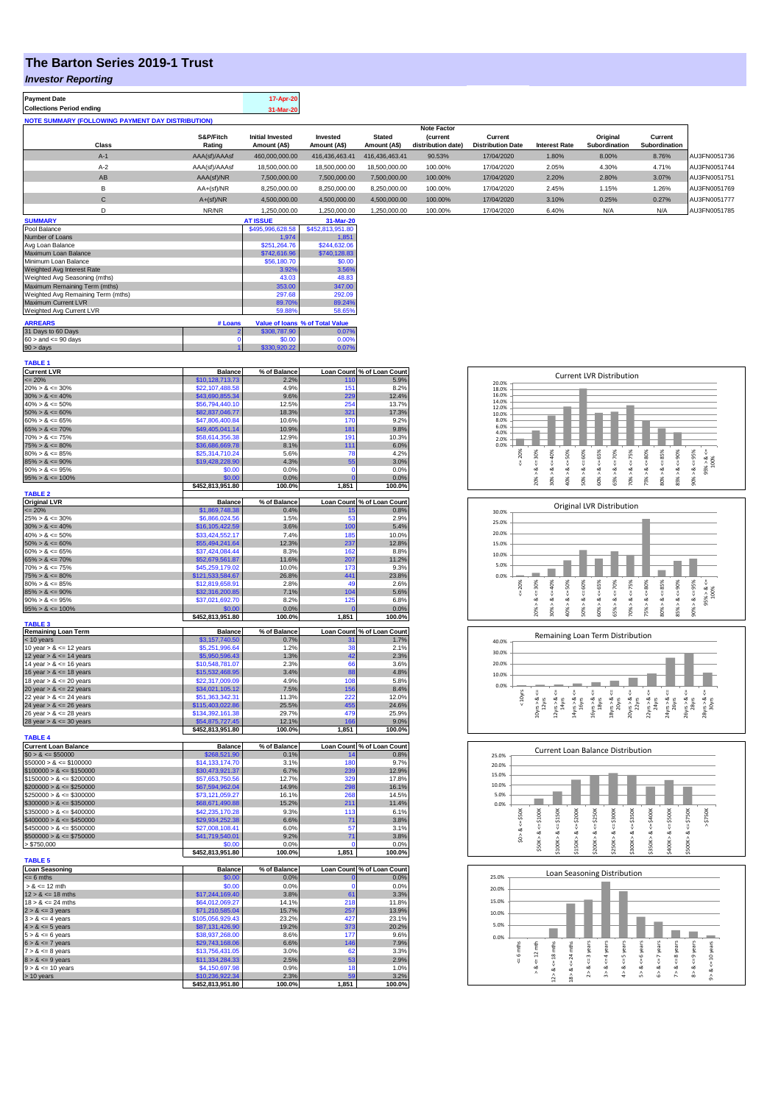## **The Barton Series 2019-1 Trust**

## *Investor Reporting*

| <b>Payment Date</b>                                      | 17-Apr-20 |
|----------------------------------------------------------|-----------|
| <b>Collections Period ending</b>                         | 31-Mar-20 |
| <b>NOTE SUMMARY (FOLLOWING PAYMENT DAY DISTRIBUTION)</b> |           |

|              |               |                         |                |                | <b>Note Factor</b> |                          |                      |               |               |              |
|--------------|---------------|-------------------------|----------------|----------------|--------------------|--------------------------|----------------------|---------------|---------------|--------------|
|              | S&P/Fitch     | <b>Initial Invested</b> | Invested       | <b>Stated</b>  | <b>(current</b>    | Current                  |                      | Original      | Current       |              |
| <b>Class</b> | Rating        | Amount (A\$)            | Amount (A\$)   | Amount (A\$)   | distribution date) | <b>Distribution Date</b> | <b>Interest Rate</b> | Subordination | Subordination |              |
| $A-1$        | AAA(sf)/AAAsf | 460,000,000.00          | 416.436.463.41 | 416.436.463.41 | 90.53%             | 17/04/2020               | 1.80%                | 8.00%         | 8.76%         | AU3FN0051736 |
| $A-2$        | AAA(sf)/AAAsf | 18,500,000.00           | 18,500,000,00  | 18,500,000.00  | 100.00%            | 17/04/2020               | 2.05%                | 4.30%         | 4.71%         | AU3FN0051744 |
| AB           | AAA(sf)/NR    | 7,500,000.00            | 7.500.000.00   | 7,500,000.00   | 100.00%            | 17/04/2020               | 2.20%                | 2.80%         | 3.07%         | AU3FN0051751 |
| B            | $AA+(sf)/NR$  | 8,250,000.00            | 8.250.000.00   | 8,250,000.00   | 100.00%            | 17/04/2020               | 2.45%                | 1.15%         | 1.26%         | AU3FN0051769 |
| $\mathbf{C}$ | $A+(sf)/NR$   | 4,500,000.00            | 4.500.000.00   | 4.500.000.00   | 100.00%            | 17/04/2020               | 3.10%                | 0.25%         | 0.27%         | AU3FN0051777 |
|              | NR/NR         | 1.250.000.00            | 1.250.000.00   | 1.250.000.00   | 100.00%            | 17/04/2020               | 6.40%                | N/A           | N/A           | AU3FN0051785 |

| <b>SUMMARY</b>                     |         | <b>AT ISSUE</b>  | 31-Mar-20                       |
|------------------------------------|---------|------------------|---------------------------------|
| Pool Balance                       |         | \$495,996,628.58 | \$452,813,951.80                |
| Number of Loans                    |         | 1.974            | 1.851                           |
| Avg Loan Balance                   |         | \$251.264.76     | \$244,632.06                    |
| Maximum Loan Balance               |         | \$742,616.96     | \$740,128.83                    |
| Minimum Loan Balance               |         | \$56,180.70      | \$0.00                          |
| Weighted Avg Interest Rate         |         | 3.92%            | 3.56%                           |
| Weighted Avg Seasoning (mths)      |         | 43.03            | 48.83                           |
| Maximum Remaining Term (mths)      |         | 353.00           | 347.00                          |
| Weighted Avg Remaining Term (mths) |         | 297.68           | 292.09                          |
| <b>Maximum Current LVR</b>         |         | 89.70%           | 89.24%                          |
| Weighted Avg Current LVR           |         | 59.88%           | 58.65%                          |
| <b>ARREARS</b>                     | # Loans |                  | Value of Ioans % of Total Value |
|                                    |         |                  |                                 |
| 31 Days to 60 Days                 |         | \$308,787.90     | 0.07%                           |
| $60 >$ and $\leq 90$ days          |         | \$0.00           | 0.00%                           |
| $90 >$ days                        |         | \$330,920.22     | 0.07%                           |

| <b>TABLE 1</b>                                           |                                     |                      |                   |                                    |
|----------------------------------------------------------|-------------------------------------|----------------------|-------------------|------------------------------------|
| <b>Current LVR</b>                                       | <b>Balance</b>                      | % of Balance<br>2.29 | 110               | Loan Count % of Loan Count<br>5.9% |
| $= 20%$<br>$20\% > 8 \le 30\%$                           | \$10,128,713.73<br>\$22,107,488.58  | 4.9%                 | 151               | 8.2%                               |
| $30\% > 8 \le 40\%$                                      | \$43,690,855.34                     | 9.6%                 | 229               | 12.4%                              |
| $40\% > 8 \le 50\%$                                      | \$56,794,440.10                     | 12.5%                | 254               | 13.7%                              |
| $50\% > 8 \le 60\%$                                      | \$82,837,046.77                     | 18.3%                | 321               | 17.3%                              |
| $60\% > 8 \le 65\%$                                      | \$47,806,400.84                     | 10.6%                | 170               | 9.2%                               |
| $65\% > 8 \le 70\%$                                      | \$49,405,041.14                     | 10.9%                | 181               | 9.8%                               |
| $70\% > 8 \le 75\%$                                      | \$58,614,356.38                     | 12.9%                | 191               | 10.3%                              |
| $75\% > 8 \le 80\%$                                      | \$36,686,669.78                     | 8.1%                 | 111               | 6.0%                               |
| $80\% > 8 \le 85\%$                                      | \$25,314,710.24                     | 5.6%                 | 78                | 4.2%                               |
| $85\% > 8 \le 90\%$                                      | \$19,428,228.90                     | 4.3%                 | 55                | 3.0%                               |
| $90\% > 8 \le 95\%$                                      | \$0.00                              | 0.0%                 | n                 | 0.0%                               |
| $95\% > 8 \le 100\%$                                     | \$0.00                              | 0.0%                 | $\overline{0}$    | 0.0%                               |
| <b>TABLE 2</b>                                           | \$452,813,951.80                    | 100.0%               | 1,851             | 100.0%                             |
| <b>Original LVR</b>                                      | <b>Balance</b>                      | % of Balance         |                   | Loan Count % of Loan Count         |
| $= 20%$                                                  | \$1,869,748.38                      | 0.4%                 | 15                | 0.8%                               |
| $25\% > 8 \le 30\%$                                      | \$6,866,024.56                      | 1.5%                 | 53                | 2.9%                               |
| $30\% > 8 \le 40\%$                                      | \$16,105,422.59                     | 3.6%                 | 100               | 5.4%                               |
| $40\% > 8 \le 50\%$                                      | \$33,424,552.17                     | 7.4%                 | 185               | 10.0%                              |
| $50\% > 8 \le 60\%$                                      | \$55,494,241.64                     | 12.3%                | 237               | 12.8%                              |
| $60\% > 8 \le 65\%$                                      | \$37,424,084.44                     | 8.3%                 | 162               | 8.8%                               |
| $65\% > 8 \le 70\%$                                      | \$52,679,561.87                     | 11.6%                | 207               | 11.2%                              |
| $70\% > 8 \le 75\%$                                      | \$45,259,179.02                     | 10.0%                | 173               | 9.3%                               |
| $75\% > 8 \le 80\%$                                      | \$121,533,584.67                    | 26.8%                | 441               | 23.8%                              |
| $80\% > 8 \le 85\%$                                      | \$12,819,658.91                     | 2.8%                 | 49                | 2.6%                               |
| $85\% > 8 \le 90\%$                                      | \$32,316,200.85                     | 7.1%                 | 104               | 5.6%                               |
| $90\% > 8 \le 95\%$<br>$95\% > 8 \le 100\%$              | \$37,021,692.70                     | 8.2%                 | 125               | 6.8%                               |
|                                                          | \$0.00<br>\$452,813,951.80          | 0.0%<br>100.0%       | 1,851             | 0.0%<br>100.0%                     |
| <b>TABLE 3</b>                                           |                                     |                      |                   |                                    |
| Remaining Loan Term                                      | <b>Balance</b>                      | % of Balance         |                   | Loan Count % of Loan Count         |
| < 10 years                                               | \$3,157,740.50                      | 0.7%                 | 31                | 1.7%                               |
| 10 year $> 8 \le 12$ years                               | \$5.251.996.64                      | 1.2%                 | 38                | 2.1%                               |
| 12 year $> 8 \le 14$ years                               | \$5,950,596.43<br>\$10,548,781.07   | 1.3%<br>2.3%         | 42<br>66          | 2.3%<br>3.6%                       |
| 14 year $> 8 \le 16$ years<br>16 year $> 8 \le 18$ years | \$15,532,468.95                     | 3.4%                 | 88                | 4.8%                               |
| 18 year $> 8 \le 20$ years                               | \$22,317,009.09                     | 4.9%                 | 108               | 5.8%                               |
| 20 year $> 8 < 22$ years                                 | \$34,021,105.12                     | 7.5%                 | 156               | 8.4%                               |
| 22 year > & <= 24 years                                  | \$51,363,342.31                     | 11.3%                | 222               | 12.0%                              |
| 24 year $> 8 \le 26$ years                               | \$115,403,022.86                    | 25.5%                | 455               | 24.6%                              |
| 26 year $> 8 \le 28$ years                               | \$134,392,161.38                    | 29.7%                | 479               | 25.9%                              |
| 28 year $> 8 \le 30$ years                               |                                     |                      |                   |                                    |
|                                                          |                                     |                      | 166               |                                    |
|                                                          | \$54,875,727.45<br>\$452,813,951.80 | 12.1%<br>100.0%      | 1,851             | 9.0%<br>100.0%                     |
| <b>TABLE 4</b>                                           |                                     |                      |                   |                                    |
| <b>Current Loan Balance</b>                              | <b>Balance</b>                      | % of Balance         | <b>Loan Count</b> | % of Loan Count                    |
| $$0 > 8 \le $50000$                                      | \$268,521.90                        | 0.1%                 | 14                | 0.8%                               |
| $$50000 > 8 \le $100000$                                 | \$14,133,174.70                     | 3.1%                 | 180               | 9.7%                               |
| $$100000 > 8 \le $150000$                                | \$30,473,921.37                     | 6.7%                 | 239               | 12.9%                              |
| $$150000 > 8 \le $200000$                                | \$57,653,750.56                     | 12.7%                | 320               | 17.8%                              |
| $$200000 > 8 \le $250000$                                | \$67,594,962.04                     | 14.9%                | 298<br>268        | 16.1%                              |
| $$250000 > 8 \le $300000$                                | \$73,121,059.27                     | 16.1%                |                   | 14.5%                              |
| $$300000 > 8 \leq $350000$<br>$$350000 > 8 \le $400000$  | \$68,671,490.88<br>\$42,235,170.28  | 15.2%<br>9.3%        | 211<br>113        | 11.4%<br>6.1%                      |
| $$400000 > 8 \leq $450000$                               | \$29,934,252.38                     | 6.6%                 | 71                | 3.8%                               |
| $$450000 > 8 \le $500000$                                | \$27,008,108.41                     | 6.0%                 | 57                | 3.1%                               |
| $$500000 > 8 \le $750000$                                | \$41,719,540.01                     | 9.2%                 | 71                | 3.8%                               |
| > \$750,000                                              | \$0.00                              | 0.0%                 | $\Omega$          | 0.0%                               |
|                                                          | \$452,813,951.80                    | 100.0%               | 1,851             | 100.0%                             |
| <b>TABLE 5</b>                                           |                                     |                      |                   |                                    |
| <b>Loan Seasoning</b>                                    | <b>Balance</b>                      | % of Balance         |                   | Loan Count % of Loan Count         |
| $= 6$ mths                                               | \$0.00<br>\$0.00                    | 0.0%                 | O<br>$\Omega$     | 0.0%<br>0.0%                       |
| $> 8$ <= 12 mth                                          |                                     | 0.0%                 |                   |                                    |
| $12 > 8 \le 18$ mths<br>$18 > 8 \le 24$ mths             | \$17,244,169.40<br>\$64,012,069.27  | 3.8%<br>14.1%        | 61<br>218         | 3.3%<br>11.8%                      |
| $2 > 8 \le 3$ years                                      | \$71,210,585.04                     |                      | 257               |                                    |
| $3 > 8 \le 4$ years                                      | \$105,056,929.43                    | 15.7%<br>23.2%       | 427               | 13.9%<br>23.1%                     |
| $4 > 8 \le 5$ years                                      | \$87,131,426.90                     | 19.2%                | 373               | 20.2%                              |
| $5 > 8 \le 6$ years                                      | \$38,937,268.00                     | 8.6%                 | 177               | 9.6%                               |
| $6 > 8 \le 7$ years                                      | \$29,743,168.06                     | 6.6%                 | 146               | 7.9%                               |
| $7 > 8 \le 8$ years                                      | \$13,756,431.05                     | 3.0%                 | 62                | 3.3%                               |
| $8 > 8 \le 9$ years                                      | \$11,334,284.33                     | 2.5%                 | 53                | 2.9%                               |
| $9 > 8 \le 10$ years                                     | \$4,150,697.98                      | 0.9%                 | 18                | 1.0%                               |
| > 10 years                                               | \$10,236,922.34<br>\$452,813,951.80 | 2.3%<br>100.0%       | 50<br>1,851       | 3.2%<br>100.0%                     |



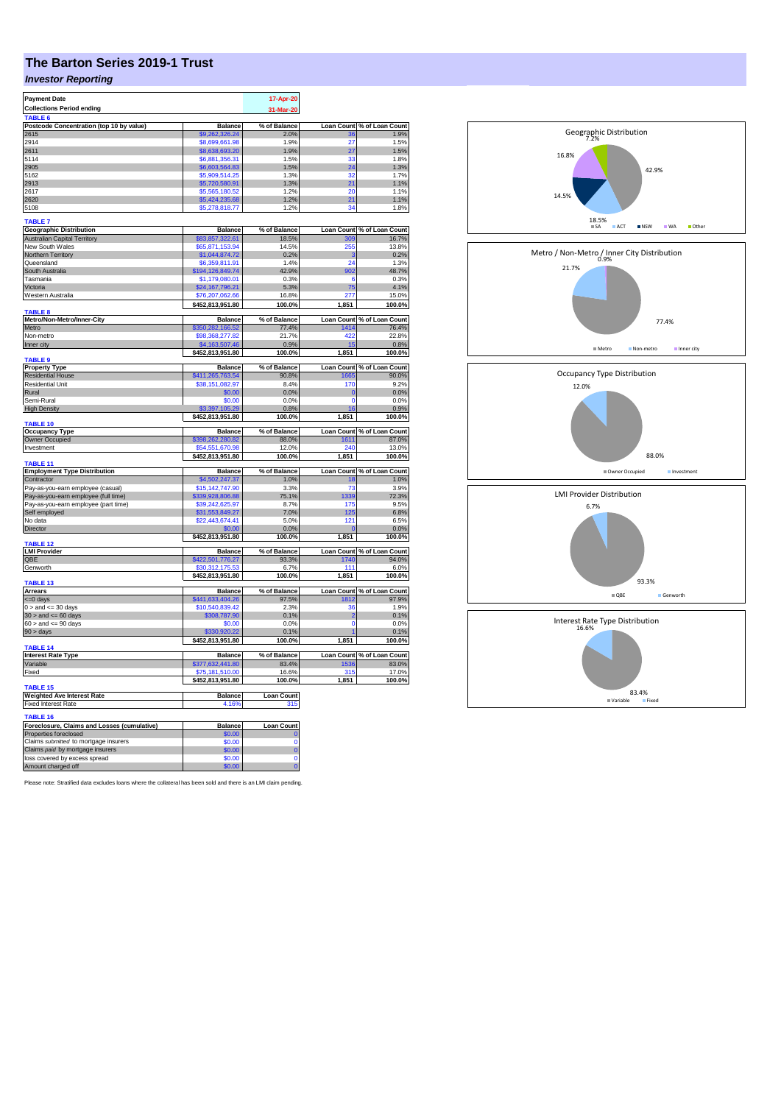# **The Barton Series 2019-1 Trust**

## *Investor Reporting*

| <b>Payment Date</b>                                                  |                                  | 17-Apr-20               |                   |                            |
|----------------------------------------------------------------------|----------------------------------|-------------------------|-------------------|----------------------------|
| <b>Collections Period ending</b>                                     |                                  |                         |                   |                            |
|                                                                      |                                  | 31-Mar-20               |                   |                            |
| TABLE 6                                                              |                                  |                         |                   |                            |
| Postcode Concentration (top 10 by value)                             | <b>Balance</b>                   | % of Balance            | <b>Loan Count</b> | % of Loan Count<br>1.9%    |
| 2615                                                                 | \$9,262,326,24                   | 2.0%                    | 36                |                            |
| 2914                                                                 | \$8,699,661.98                   | 1.9%                    | 27                | 1.5%                       |
| 2611                                                                 | \$8,638,693.20                   | 1.9%                    | 27                | 1.5%                       |
| 5114                                                                 | \$6,881,356,31                   | 1.5%                    | 33                | 1.8%                       |
| 2905                                                                 | \$6,603,564.83                   | 1.5%                    | 24                | 1.3%                       |
| 5162                                                                 | \$5.909,514.25                   | 1.3%                    | 32                | 1.7%                       |
| 2913                                                                 | \$5,720,580.91                   | 1.3%                    | 21                | 1.1%                       |
| 2617                                                                 | \$5,565,180.52                   | 1.2%                    | 20                | 1.1%                       |
| 2620                                                                 | \$5,424,235.68                   | 1.2%                    | 21                | 1.1%                       |
|                                                                      |                                  |                         | 34                |                            |
| 5108                                                                 | \$5,278,818.77                   | 1.2%                    |                   | 1.8%                       |
| TABLE <sub>7</sub>                                                   |                                  |                         |                   |                            |
|                                                                      |                                  |                         |                   |                            |
| <b>Geographic Distribution</b>                                       | <b>Balance</b>                   | % of Balance            | <b>Loan Count</b> | % of Loan Count            |
| <b>Australian Capital Territory</b>                                  | \$83.857.322.61                  | 18.5%                   | 309               | 16.7%                      |
| New South Wales                                                      | \$65,871,153.94                  | 14.5%                   | 255               | 13.8%                      |
| Northern Territory                                                   | \$1,044,874.72                   | 0.2%                    | з                 | 0.2%                       |
| Queensland                                                           | \$6,359,811.91                   | 1.4%                    | 24                | 1.3%                       |
| South Australia                                                      | \$194,126,849.74                 | 42.9%                   | 902               | 48.7%                      |
| Tasmania                                                             | \$1,179,080.01                   | 0.3%                    | 6                 | 0.3%                       |
| Victoria                                                             | \$24,167,796.21                  | 5.3%                    | 75                | 4.1%                       |
| Western Australia                                                    | \$76,207,062.66                  | 16.8%                   | 277               | 15.0%                      |
|                                                                      |                                  |                         |                   |                            |
|                                                                      | \$452,813,951.80                 | 100.0%                  | 1,851             | 100.0%                     |
| <b>TARIFS</b>                                                        |                                  |                         |                   |                            |
| Metro/Non-Metro/Inner-City                                           | <b>Balance</b>                   | % of Balance            |                   | Loan Count % of Loan Count |
| Metro                                                                | \$350,282,166.52                 | 77.4%                   | 1414              | 76.4%                      |
| Non-metro                                                            | \$98,368,277.82                  | 21.7%                   | 422               | 22.8%                      |
| Inner city                                                           | \$4,163,507.46                   | 0.9%                    |                   | 0.8%                       |
|                                                                      | \$452,813,951.80                 | 100.0%                  | 1,851             | 100.0%                     |
| TABLE 9                                                              |                                  |                         |                   |                            |
| <b>Property Type</b>                                                 | <b>Balance</b>                   | % of Balance            | <b>Loan Count</b> | % of Loan Count            |
| <b>Residential House</b>                                             | \$411,265,763.54                 | 90.8%                   | 1665              | 90.0%                      |
| <b>Residential Unit</b>                                              | \$38,151,082.97                  | 8.4%                    | 170               | 9.2%                       |
| Rural                                                                | \$0.00                           | 0.0%                    | $\overline{0}$    | 0.0%                       |
| Semi-Rural                                                           | \$0.00                           | 0.0%                    | $\mathbf 0$       | 0.0%                       |
|                                                                      |                                  |                         |                   |                            |
| <b>High Density</b>                                                  | 105.29                           | 0.8%                    | 16                | 0.9%                       |
|                                                                      | \$452,813,951.80                 | 100.0%                  | 1,851             | 100.0%                     |
| TABLE 10                                                             |                                  |                         |                   |                            |
|                                                                      |                                  |                         |                   |                            |
| <b>Occupancy Type</b>                                                | <b>Balance</b>                   | % of Balance            | <b>Loan Count</b> | % of Loan Count            |
| Owner Occupied                                                       | \$398,262,280.82                 | 88.0%                   | 1611              | 87.0%                      |
| Investment                                                           | \$54,551,670.98                  | 12.0%                   | 240               | 13.0%                      |
|                                                                      |                                  |                         |                   |                            |
|                                                                      | \$452,813,951.80                 | 100.0%                  | 1,851             | 100.0%                     |
| TABLE 11                                                             |                                  |                         |                   |                            |
| <b>Employment Type Distribution</b><br>Contractor                    | <b>Balance</b><br>\$4,502,247,37 | % of Balance            | <b>Loan Count</b> | % of Loan Count            |
|                                                                      |                                  | 1.0%                    | 18                | 1.0%                       |
| Pay-as-you-earn employee (casual)                                    | \$15,142,747.90                  | 3.3%                    | 73                | 3.9%                       |
| Pay-as-you-earn employee (full time)                                 | 339,928,806.88                   | 75.1%                   | 339               | 72.3%                      |
| Pay-as-you-earn employee (part time)                                 | \$39,242,625,97                  | 8.7%                    | 175               | 9.5%                       |
| Self employed                                                        | \$31,553,849.27                  | 7.0%                    | 125               | 6.8%                       |
| No data                                                              | \$22,443,674.41                  | 5.0%                    | 121               | 6.5%                       |
| Director                                                             | \$0.00                           | 0.0%                    | $\mathbf{0}$      | 0.0%                       |
|                                                                      |                                  | 100.0%                  | 1,851             | 100.0%                     |
| <b>TABLE 12</b>                                                      | \$452,813,951.80                 |                         |                   |                            |
| <b>LMI Provider</b>                                                  | <b>Balance</b>                   | % of Balance            | <b>Loan Count</b> | % of Loan Count            |
| QBE                                                                  | \$422,501,776.27                 | 93.3%                   | 1740              | 94.0%                      |
| Genworth                                                             | \$30,312,175,53                  | 6.7%                    | 111               | 6.0%                       |
|                                                                      |                                  | 100.0%                  |                   |                            |
| TABLE 13                                                             | \$452,813,951.80                 |                         | 1,851             | 100.0%                     |
| <b>Arrears</b>                                                       | <b>Balance</b>                   | % of Balance            |                   |                            |
|                                                                      |                                  |                         |                   | Loan Count % of Loan Count |
| <=0 days                                                             | \$441,633,404.26                 | 97.5%                   | 1812              | 97.9%                      |
| $0 >$ and $\leq 30$ days                                             | \$10,540,839.42                  | 2.3%                    | 36                | 1.9%                       |
| $30 >$ and $\leq 60$ days                                            | \$308,787.90                     | 0.1%                    | $\overline{2}$    | 0.1%                       |
| $60 >$ and $\leq 90$ days                                            | \$0.00                           | 0.0%                    | $\overline{0}$    | 0.0%                       |
| 90 > days                                                            | 920.22                           | 0.1%                    |                   | 0.1%                       |
|                                                                      | \$452,813,951.80                 | 100.0%                  | 1,851             | 100.0%                     |
| <b>TABLE 14</b>                                                      |                                  |                         |                   |                            |
| <b>Interest Rate Type</b>                                            | <b>Balance</b>                   | % of Balance            |                   | Loan Count % of Loan Count |
| Variable                                                             | \$377,632,441.80                 | 83.4%                   | 1536              | 83.0%                      |
| Fixed                                                                | \$75,181,510.00                  | 16.6%                   | 315               | 17.0%                      |
|                                                                      | \$452,813,951.80                 | 100.0%                  | 1,851             | 100.0%                     |
| TABLE <sub>15</sub>                                                  |                                  |                         |                   |                            |
|                                                                      |                                  |                         |                   |                            |
| <b>Weighted Ave Interest Rate</b>                                    | <b>Balance</b>                   | Loan Count<br>315       |                   |                            |
| <b>Fixed Interest Rate</b>                                           | 4.16%                            |                         |                   |                            |
| TABLE 16                                                             |                                  |                         |                   |                            |
|                                                                      | <b>Balance</b>                   | <b>Loan Count</b>       |                   |                            |
| Foreclosure, Claims and Losses (cumulative)<br>Properties foreclosed | \$0.00                           |                         |                   |                            |
|                                                                      |                                  |                         |                   |                            |
| Claims submitted to mortgage insurers                                | \$0.00                           | $\Omega$                |                   |                            |
| Claims paid by mortgage insurers                                     | \$0.00                           | $\overline{0}$          |                   |                            |
| loss covered by excess spread<br>Amount charged off                  | \$0.00<br>\$0.00                 | $\mathbf 0$<br>$\Omega$ |                   |                            |

Please note: Stratified data excludes loans where the collateral has been sold and there is an LMI claim pending.